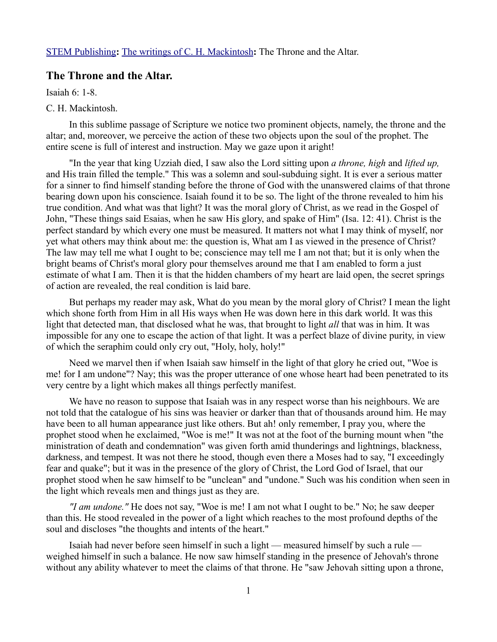## **The Throne and the Altar.**

Isaiah 6: 1-8.

## C. H. Mackintosh.

In this sublime passage of Scripture we notice two prominent objects, namely, the throne and the altar; and, moreover, we perceive the action of these two objects upon the soul of the prophet. The entire scene is full of interest and instruction. May we gaze upon it aright!

"In the year that king Uzziah died, I saw also the Lord sitting upon *a throne, high* and *lifted up,* and His train filled the temple." This was a solemn and soul-subduing sight. It is ever a serious matter for a sinner to find himself standing before the throne of God with the unanswered claims of that throne bearing down upon his conscience. Isaiah found it to be so. The light of the throne revealed to him his true condition. And what was that light? It was the moral glory of Christ, as we read in the Gospel of John, "These things said Esaias, when he saw His glory, and spake of Him" (Isa. 12: 41). Christ is the perfect standard by which every one must be measured. It matters not what I may think of myself, nor yet what others may think about me: the question is, What am I as viewed in the presence of Christ? The law may tell me what I ought to be; conscience may tell me I am not that; but it is only when the bright beams of Christ's moral glory pour themselves around me that I am enabled to form a just estimate of what I am. Then it is that the hidden chambers of my heart are laid open, the secret springs of action are revealed, the real condition is laid bare.

But perhaps my reader may ask, What do you mean by the moral glory of Christ? I mean the light which shone forth from Him in all His ways when He was down here in this dark world. It was this light that detected man, that disclosed what he was, that brought to light *all* that was in him. It was impossible for any one to escape the action of that light. It was a perfect blaze of divine purity, in view of which the seraphim could only cry out, "Holy, holy, holy!"

Need we marvel then if when Isaiah saw himself in the light of that glory he cried out, "Woe is me! for I am undone"? Nay; this was the proper utterance of one whose heart had been penetrated to its very centre by a light which makes all things perfectly manifest.

We have no reason to suppose that Isaiah was in any respect worse than his neighbours. We are not told that the catalogue of his sins was heavier or darker than that of thousands around him. He may have been to all human appearance just like others. But ah! only remember, I pray you, where the prophet stood when he exclaimed, "Woe is me!" It was not at the foot of the burning mount when "the ministration of death and condemnation" was given forth amid thunderings and lightnings, blackness, darkness, and tempest. It was not there he stood, though even there a Moses had to say, "I exceedingly fear and quake"; but it was in the presence of the glory of Christ, the Lord God of Israel, that our prophet stood when he saw himself to be "unclean" and "undone." Such was his condition when seen in the light which reveals men and things just as they are.

*"I am undone."* He does not say, "Woe is me! I am not what I ought to be." No; he saw deeper than this. He stood revealed in the power of a light which reaches to the most profound depths of the soul and discloses "the thoughts and intents of the heart."

Isaiah had never before seen himself in such a light — measured himself by such a rule weighed himself in such a balance. He now saw himself standing in the presence of Jehovah's throne without any ability whatever to meet the claims of that throne. He "saw Jehovah sitting upon a throne,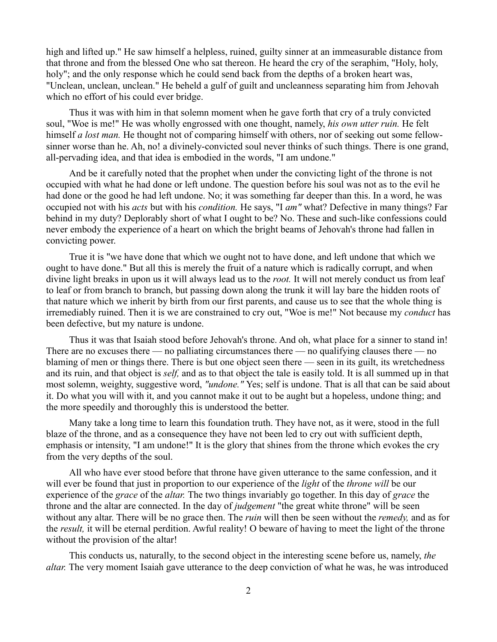high and lifted up." He saw himself a helpless, ruined, guilty sinner at an immeasurable distance from that throne and from the blessed One who sat thereon. He heard the cry of the seraphim, "Holy, holy, holy"; and the only response which he could send back from the depths of a broken heart was, "Unclean, unclean, unclean." He beheld a gulf of guilt and uncleanness separating him from Jehovah which no effort of his could ever bridge.

Thus it was with him in that solemn moment when he gave forth that cry of a truly convicted soul, "Woe is me!" He was wholly engrossed with one thought, namely, *his own utter ruin.* He felt himself *a lost man*. He thought not of comparing himself with others, nor of seeking out some fellowsinner worse than he. Ah, no! a divinely-convicted soul never thinks of such things. There is one grand, all-pervading idea, and that idea is embodied in the words, "I am undone."

And be it carefully noted that the prophet when under the convicting light of the throne is not occupied with what he had done or left undone. The question before his soul was not as to the evil he had done or the good he had left undone. No; it was something far deeper than this. In a word, he was occupied not with his *acts* but with his *condition.* He says, "I *am"* what? Defective in many things? Far behind in my duty? Deplorably short of what I ought to be? No. These and such-like confessions could never embody the experience of a heart on which the bright beams of Jehovah's throne had fallen in convicting power.

True it is "we have done that which we ought not to have done, and left undone that which we ought to have done." But all this is merely the fruit of a nature which is radically corrupt, and when divine light breaks in upon us it will always lead us to the *root.* It will not merely conduct us from leaf to leaf or from branch to branch, but passing down along the trunk it will lay bare the hidden roots of that nature which we inherit by birth from our first parents, and cause us to see that the whole thing is irremediably ruined. Then it is we are constrained to cry out, "Woe is me!" Not because my *conduct* has been defective, but my nature is undone.

Thus it was that Isaiah stood before Jehovah's throne. And oh, what place for a sinner to stand in! There are no excuses there — no palliating circumstances there — no qualifying clauses there — no blaming of men or things there. There is but one object seen there — seen in its guilt, its wretchedness and its ruin, and that object is *self,* and as to that object the tale is easily told. It is all summed up in that most solemn, weighty, suggestive word, *"undone."* Yes; self is undone. That is all that can be said about it. Do what you will with it, and you cannot make it out to be aught but a hopeless, undone thing; and the more speedily and thoroughly this is understood the better.

Many take a long time to learn this foundation truth. They have not, as it were, stood in the full blaze of the throne, and as a consequence they have not been led to cry out with sufficient depth, emphasis or intensity, "I am undone!" It is the glory that shines from the throne which evokes the cry from the very depths of the soul.

All who have ever stood before that throne have given utterance to the same confession, and it will ever be found that just in proportion to our experience of the *light* of the *throne will* be our experience of the *grace* of the *altar.* The two things invariably go together. In this day of *grace* the throne and the altar are connected. In the day of *judgement* "the great white throne" will be seen without any altar. There will be no grace then. The *ruin* will then be seen without the *remedy,* and as for the *result,* it will be eternal perdition. Awful reality! O beware of having to meet the light of the throne without the provision of the altar!

This conducts us, naturally, to the second object in the interesting scene before us, namely, *the altar.* The very moment Isaiah gave utterance to the deep conviction of what he was, he was introduced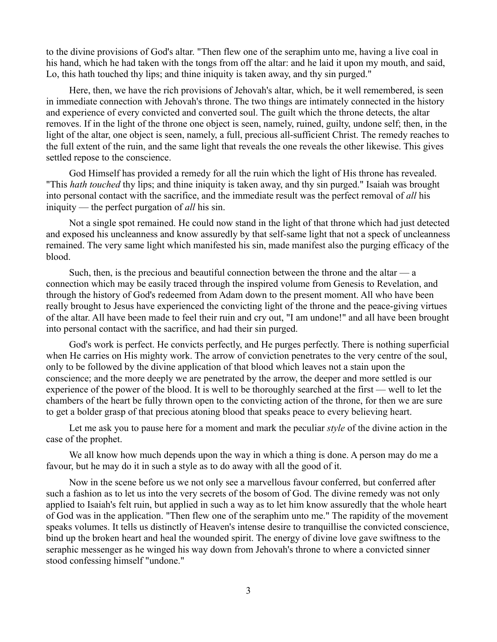to the divine provisions of God's altar. "Then flew one of the seraphim unto me, having a live coal in his hand, which he had taken with the tongs from off the altar: and he laid it upon my mouth, and said, Lo, this hath touched thy lips; and thine iniquity is taken away, and thy sin purged."

Here, then, we have the rich provisions of Jehovah's altar, which, be it well remembered, is seen in immediate connection with Jehovah's throne. The two things are intimately connected in the history and experience of every convicted and converted soul. The guilt which the throne detects, the altar removes. If in the light of the throne one object is seen, namely, ruined, guilty, undone self; then, in the light of the altar, one object is seen, namely, a full, precious all-sufficient Christ. The remedy reaches to the full extent of the ruin, and the same light that reveals the one reveals the other likewise. This gives settled repose to the conscience.

God Himself has provided a remedy for all the ruin which the light of His throne has revealed. "This *hath touched* thy lips; and thine iniquity is taken away, and thy sin purged." Isaiah was brought into personal contact with the sacrifice, and the immediate result was the perfect removal of *all* his iniquity — the perfect purgation of *all* his sin.

Not a single spot remained. He could now stand in the light of that throne which had just detected and exposed his uncleanness and know assuredly by that self-same light that not a speck of uncleanness remained. The very same light which manifested his sin, made manifest also the purging efficacy of the blood.

Such, then, is the precious and beautiful connection between the throne and the altar  $\frac{a}{2}$ connection which may be easily traced through the inspired volume from Genesis to Revelation, and through the history of God's redeemed from Adam down to the present moment. All who have been really brought to Jesus have experienced the convicting light of the throne and the peace-giving virtues of the altar. All have been made to feel their ruin and cry out, "I am undone!" and all have been brought into personal contact with the sacrifice, and had their sin purged.

God's work is perfect. He convicts perfectly, and He purges perfectly. There is nothing superficial when He carries on His mighty work. The arrow of conviction penetrates to the very centre of the soul, only to be followed by the divine application of that blood which leaves not a stain upon the conscience; and the more deeply we are penetrated by the arrow, the deeper and more settled is our experience of the power of the blood. It is well to be thoroughly searched at the first — well to let the chambers of the heart be fully thrown open to the convicting action of the throne, for then we are sure to get a bolder grasp of that precious atoning blood that speaks peace to every believing heart.

Let me ask you to pause here for a moment and mark the peculiar *style* of the divine action in the case of the prophet.

We all know how much depends upon the way in which a thing is done. A person may do me a favour, but he may do it in such a style as to do away with all the good of it.

Now in the scene before us we not only see a marvellous favour conferred, but conferred after such a fashion as to let us into the very secrets of the bosom of God. The divine remedy was not only applied to Isaiah's felt ruin, but applied in such a way as to let him know assuredly that the whole heart of God was in the application. "Then flew one of the seraphim unto me." The rapidity of the movement speaks volumes. It tells us distinctly of Heaven's intense desire to tranquillise the convicted conscience, bind up the broken heart and heal the wounded spirit. The energy of divine love gave swiftness to the seraphic messenger as he winged his way down from Jehovah's throne to where a convicted sinner stood confessing himself "undone."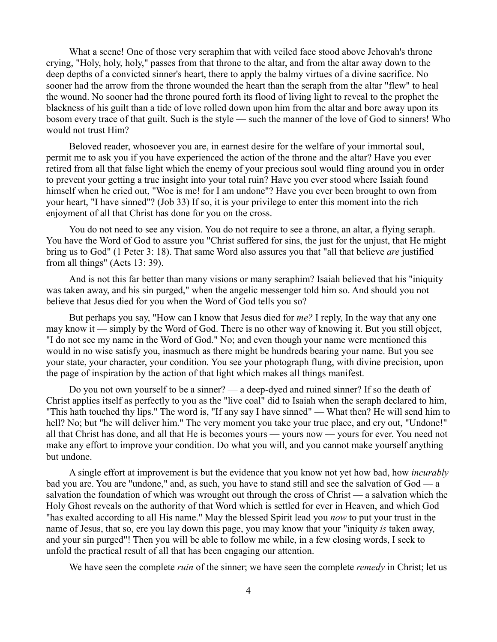What a scene! One of those very seraphim that with veiled face stood above Jehovah's throne crying, "Holy, holy, holy," passes from that throne to the altar, and from the altar away down to the deep depths of a convicted sinner's heart, there to apply the balmy virtues of a divine sacrifice. No sooner had the arrow from the throne wounded the heart than the seraph from the altar "flew" to heal the wound. No sooner had the throne poured forth its flood of living light to reveal to the prophet the blackness of his guilt than a tide of love rolled down upon him from the altar and bore away upon its bosom every trace of that guilt. Such is the style — such the manner of the love of God to sinners! Who would not trust Him?

Beloved reader, whosoever you are, in earnest desire for the welfare of your immortal soul, permit me to ask you if you have experienced the action of the throne and the altar? Have you ever retired from all that false light which the enemy of your precious soul would fling around you in order to prevent your getting a true insight into your total ruin? Have you ever stood where Isaiah found himself when he cried out, "Woe is me! for I am undone"? Have you ever been brought to own from your heart, "I have sinned"? (Job 33) If so, it is your privilege to enter this moment into the rich enjoyment of all that Christ has done for you on the cross.

You do not need to see any vision. You do not require to see a throne, an altar, a flying seraph. You have the Word of God to assure you "Christ suffered for sins, the just for the unjust, that He might bring us to God" (1 Peter 3: 18). That same Word also assures you that "all that believe *are* justified from all things" (Acts 13: 39).

And is not this far better than many visions or many seraphim? Isaiah believed that his "iniquity was taken away, and his sin purged," when the angelic messenger told him so. And should you not believe that Jesus died for you when the Word of God tells you so?

But perhaps you say, "How can I know that Jesus died for *me?* I reply, In the way that any one may know it — simply by the Word of God. There is no other way of knowing it. But you still object, "I do not see my name in the Word of God." No; and even though your name were mentioned this would in no wise satisfy you, inasmuch as there might be hundreds bearing your name. But you see your state, your character, your condition. You see your photograph flung, with divine precision, upon the page of inspiration by the action of that light which makes all things manifest.

Do you not own yourself to be a sinner? — a deep-dyed and ruined sinner? If so the death of Christ applies itself as perfectly to you as the "live coal" did to Isaiah when the seraph declared to him, "This hath touched thy lips." The word is, "If any say I have sinned" — What then? He will send him to hell? No; but "he will deliver him." The very moment you take your true place, and cry out, "Undone!" all that Christ has done, and all that He is becomes yours — yours now — yours for ever. You need not make any effort to improve your condition. Do what you will, and you cannot make yourself anything but undone.

A single effort at improvement is but the evidence that you know not yet how bad, how *incurably* bad you are. You are "undone," and, as such, you have to stand still and see the salvation of God — a salvation the foundation of which was wrought out through the cross of Christ — a salvation which the Holy Ghost reveals on the authority of that Word which is settled for ever in Heaven, and which God "has exalted according to all His name." May the blessed Spirit lead you *now* to put your trust in the name of Jesus, that so, ere you lay down this page, you may know that your "iniquity *is* taken away, and your sin purged"! Then you will be able to follow me while, in a few closing words, I seek to unfold the practical result of all that has been engaging our attention.

We have seen the complete *ruin* of the sinner; we have seen the complete *remedy* in Christ; let us